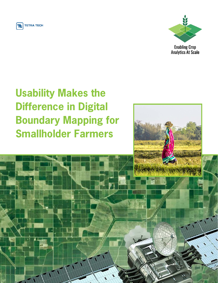



**Enabling Crop Analytics At Scale** 

# **Usability Makes the Difference in Digital Boundary Mapping for Smallholder Farmers**

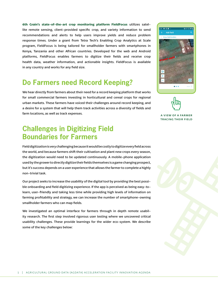**6th Grain's state-of-the-art crop monitoring platform FieldFocus** utilizes satellite remote sensing, client-provided specific crop, and variety information to send recommendations and alerts to help users improve yields and reduce problem response times. Under a grant from Tetra Tech's Enabling Crop Analytics at Scale program, FieldFocus is being tailored for smallholder farmers with smartphones in Kenya, Tanzania and other African countries. Developed for the web and Android platforms, FieldFocus enables farmers to digitize their fields and receive crop health data, weather information, and actionable insights. FieldFocus is available in any country and works for any field size.

### **Do Farmers need Record Keeping?**

We hear directly from farmers about their need for a record keeping platform that works for small commercial farmers investing in horticultural and cereal crops for regional urban markets. These farmers have voiced their challenges around record keeping, and a desire for a system that will help them track activities across a diversity of fields and farm locations, as well as track expenses.

#### **Challenges in Digitizing Field Boundaries for Farmers**

Field digitization is very challenging because it would be costly to digitize every field across the world, and because farmers shift their cultivation and plant new crops every season, the digitization would need to be updated continuously. A mobile-phone application used by the grower to directly digitize their fields themselves is a game changing prospect, but it's success depends on a user experience that allows the farmer to complete a highly non-trivial task.

Our project seeks to increase the usability of the digital tool by providing the best possible onboarding and field digitizing experience. If the app is perceived as being easy-tolearn, user-friendly and taking less time while providing high levels of information on farming profitability and strategy, we can increase the number of smartphone-owning smallholder farmers who can map fields.

We investigated an optimal interface for farmers through in depth remote usability research. The first step involved rigorous user testing where we uncovered critical usability challenges. These provide learnings for the wider eco-system. We describe some of the key challenges below:



a view of a farmer tracing their field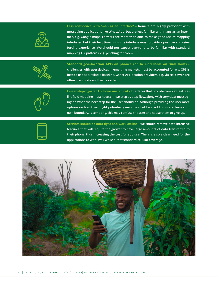

**Less confidence with 'map as an interface' -** farmers are highly proficient with messaging applications like WhatsApp, but are less familiar with maps as an interface, e.g. Google maps. Farmers are more than able to make good use of mapping interfaces, but their first time using the interface must provide a positive and reinforcing experience. We should not expect everyone to be familiar with standard mapping UX patterns, e.g. pinching for zoom.



**Standard geo-location APIs on phones can be unreliable on rural farms**  challenges with user devices in emerging markets must be accounted for, e.g. GPS is best to use as a reliable baseline. Other API location providers, e.g. via cell tower, are often inaccurate and best avoided.



**Linear step-by-step UX flows are critical -** Interfaces that provide complex features like field mapping must have a linear step by step flow, along with very clear messaging on what the next step for the user should be. Although providing the user more options on how they might potentially map their field, e.g. add points or trace your own boundary, is tempting, this may confuse the user and cause them to give up.

**Services should be data light and work offline -** we should remove data intensive features that will require the grower to have large amounts of data transferred to their phone, thus increasing the cost for app use. There is also a clear need for the applications to work well while out of standard cellular coverage.

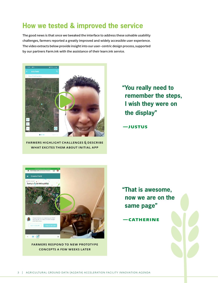#### **How we tested & improved the service**

The good news is that once we tweaked the interface to address these solvable usability challenges, farmers reported a greatly improved and widely accessible user experience. The video extracts below provide insight into our user-centric design process, supported by our partners Farm.ink with the assistance of their learn.ink service.



[Farmers highlight challenges & describe](https://vimeo.com/488652628)  WHAT EXCITES THEM ABOUT INITIAL APP

**"You really need to remember the steps, I wish they were on the display"**

**—Justus**



[Farmers respond to new prototype](https://vimeo.com/488652572)  concepts a few weeks later

**"That is awesome, now we are on the same page"**

**—Catherine**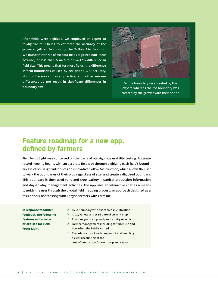After fields were digitized, we employed an expert to re-digitize four fields to estimate the accuracy of the grower-digitized fields using the 'Follow Me' function. We found that three of the four fields digitized had linear accuracy of less than 6 meters or +/-12% difference in field size. This means that for most fields, the difference in field boundaries caused by cell phone GPS accuracy, slight differences in user practice, and other unseen differences do not result in significant differences in boundary size.



White boundary was created by the expert, whereas the red boundary was created by the grower with their phone.

#### **Feature roadmap for a new app, defined by farmers**

FieldFocus Light was conceived on the basis of our rigorous usability testing. Accurate record keeping begins with an accurate field size through digitizing each field's boundary. FieldFocus Light introduces an innovative 'Follow Me' function, which allows the user to walk the boundaries of their plot, regardless of size, and create a digitized boundary. This boundary is then used to record crop, variety, historical production information and day-to-day management activities. The app uses an interactive chat as a means to guide the user through the pivotal field mapping process, an approach designed as a result of our user testing with Kenyan farmers with Farm.ink.

**In response to farmer feedback, the following features will also be prioritised for Field Focus Light:**

- $\triangleright$  Field boundary with exact area in cultivation
- $\triangleright$  Crop, variety and start date of current crop
- ΰ Previous year's crop and productivity records
- **Example 3** Farmer management including fertilizer use and how often the field is visited
- ΰ Records of cost of each crop input and enabling a clear accounting of the
	- cost of production for each crop and season.